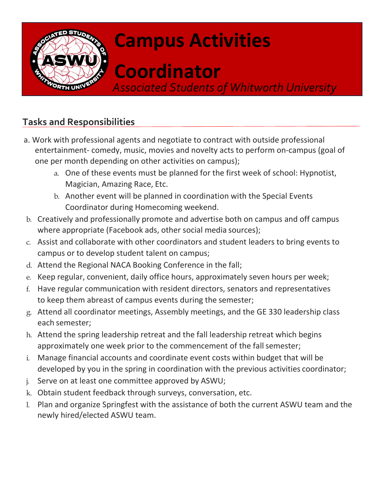

## Campus Activities

# Coordinator

Associated Students of Whitworth University

### Tasks and Responsibilities

- a. Work with professional agents and negotiate to contract with outside professional entertainment- comedy, music, movies and novelty acts to perform on-campus (goal of one per month depending on other activities on campus);
	- a. One of these events must be planned for the first week of school: Hypnotist, Magician, Amazing Race, Etc.
	- b. Another event will be planned in coordination with the Special Events Coordinator during Homecoming weekend.
- b. Creatively and professionally promote and advertise both on campus and off campus where appropriate (Facebook ads, other social media sources);
- c. Assist and collaborate with other coordinators and student leaders to bring events to campus or to develop student talent on campus;
- d. Attend the Regional NACA Booking Conference in the fall;
- e. Keep regular, convenient, daily office hours, approximately seven hours per week;
- f. Have regular communication with resident directors, senators and representatives to keep them abreast of campus events during the semester;
- g. Attend all coordinator meetings, Assembly meetings, and the GE 330 leadership class each semester;
- h. Attend the spring leadership retreat and the fall leadership retreat which begins approximately one week prior to the commencement of the fall semester;
- i. Manage financial accounts and coordinate event costs within budget that will be developed by you in the spring in coordination with the previous activities coordinator;
- j. Serve on at least one committee approved by ASWU;
- k. Obtain student feedback through surveys, conversation, etc.
- l. Plan and organize Springfest with the assistance of both the current ASWU team and the newly hired/elected ASWU team.